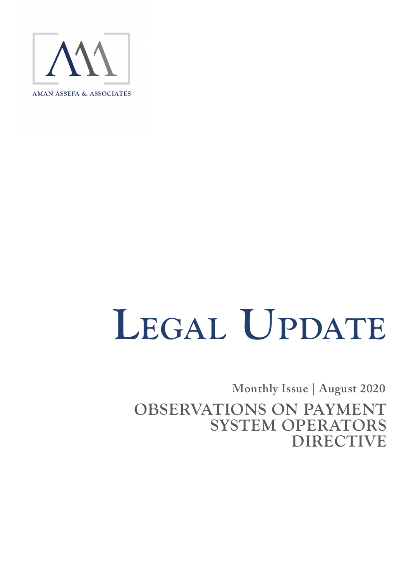

# LEGAL UPDATE

**Monthly Issue | August 2020** 

**OBSERVATIONS ON PAYMENT SYSTEM OPERATORS DIRECTIVE**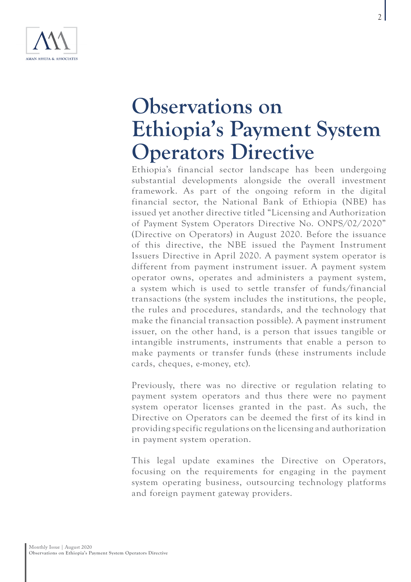

# **Observations on Ethiopia's Payment System Operators Directive**

Ethiopia's financial sector landscape has been undergoing substantial developments alongside the overall investment framework. As part of the ongoing reform in the digital financial sector, the National Bank of Ethiopia (NBE) has issued yet another directive titled "Licensing and Authorization of Payment System Operators Directive No. ONPS/02/2020" (Directive on Operators) in August 2020. Before the issuance of this directive, the NBE issued the Payment Instrument Issuers Directive in April 2020. A payment system operator is different from payment instrument issuer. A payment system operator owns, operates and administers a payment system, a system which is used to settle transfer of funds/financial transactions (the system includes the institutions, the people, the rules and procedures, standards, and the technology that make the financial transaction possible). A payment instrument issuer, on the other hand, is a person that issues tangible or intangible instruments, instruments that enable a person to make payments or transfer funds (these instruments include cards, cheques, e-money, etc).

Previously, there was no directive or regulation relating to payment system operators and thus there were no payment system operator licenses granted in the past. As such, the Directive on Operators can be deemed the first of its kind in providing specific regulations on the licensing and authorization in payment system operation.

This legal update examines the Directive on Operators, focusing on the requirements for engaging in the payment system operating business, outsourcing technology platforms and foreign payment gateway providers.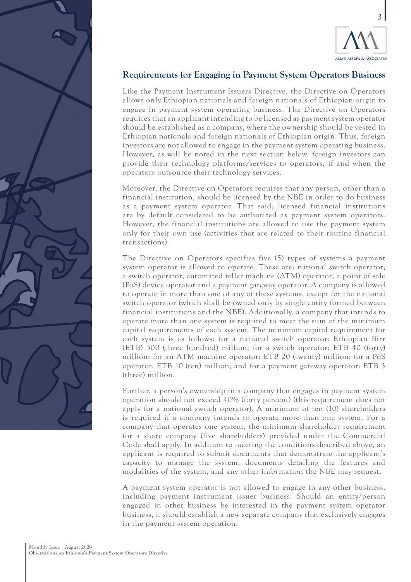

## **Requirements for Engaging in Payment System Operators Business**

Like the Payment Instrument Issuers Directive, the Directive on Operators allows only Ethiopian nationals and foreign nationals of Ethiopian origin to engage in payment system operating business. The Directive on Operators requires that an applicant intending to be licensed as payment system operator should be established as a company, where the ownership should be vested in Ethiopian nationals and foreign nationals of Ethiopian origin. Thus, foreign investors are not allowed to engage in the payment system operating business. However, as will be noted in the next section below, foreign investors can provide their technology platforms/services to operators, if and when the operators outsource their technology services.

Moreover, the Directive on Operators requires that any person, other than a financial institution, should be licensed by the NBE in order to do business as a payment system operator. That said, licensed financial institutions are by default considered to be authorized as payment system operators. However, the financial institutions are allowed to use the payment system only for their own use (activities that are related to their routine financial transactions).

The Directive on Operators specifies five (5) types of systems a payment system operator is allowed to operate. These are: national switch operator; a switch operator; automated teller machine (ATM) operator; a point of sale (PoS) device operator and a payment gateway operator. A company is allowed to operate in more than one of any of these systems, except for the national switch operator (which shall be owned only by single entity formed between financial institutions and the NBE). Additionally, a company that intends to operate more than one system is required to meet the sum of the minimum capital requirements of each system. The minimum capital requirement for each system is as follows: for a national switch operator: Ethiopian Birr (ETB) 300 (three hundred) million; for a switch operator: ETB 40 (forty) million; for an ATM machine operator: ETB 20 (twenty) million; for a PoS operator: ETB 10 (ten) million; and for a payment gateway operator: ETB 3 (three) million.

Further, a person's ownership in a company that engages in payment system operation should not exceed 40% (forty percent) (this requirement does not apply for a national switch operator). A minimum of ten (10) shareholders is required if a company intends to operate more than one system. For a company that operates one system, the minimum shareholder requirement for a share company (five shareholders) provided under the Commercial Code shall apply. In addition to meeting the conditions described above, an applicant is required to submit documents that demonstrate the applicant's capacity to manage the system, documents detailing the features and modalities of the system, and any other information the NBE may request.

A payment system operator is not allowed to engage in any other business, including payment instrument issuer business. Should an entity/person engaged in other business be interested in the payment system operator business, it should establish a new separate company that exclusively engages in the payment system operation.

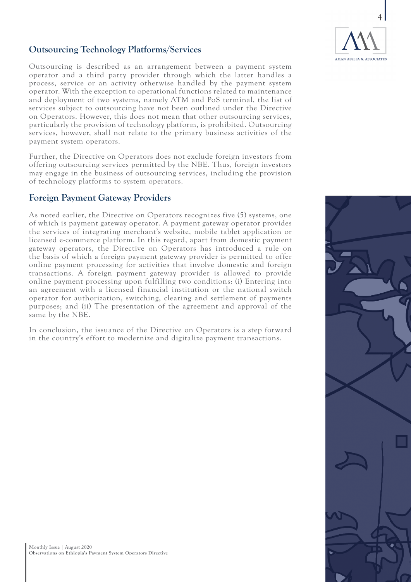

## **Outsourcing Technology Platforms/Services**

Outsourcing is described as an arrangement between a payment system operator and a third party provider through which the latter handles a process, service or an activity otherwise handled by the payment system operator. With the exception to operational functions related to maintenance and deployment of two systems, namely ATM and PoS terminal, the list of services subject to outsourcing have not been outlined under the Directive on Operators. However, this does not mean that other outsourcing services, particularly the provision of technology platform, is prohibited. Outsourcing services, however, shall not relate to the primary business activities of the payment system operators.

Further, the Directive on Operators does not exclude foreign investors from offering outsourcing services permitted by the NBE. Thus, foreign investors may engage in the business of outsourcing services, including the provision of technology platforms to system operators.

#### **Foreign Payment Gateway Providers**

As noted earlier, the Directive on Operators recognizes five (5) systems, one of which is payment gateway operator. A payment gateway operator provides the services of integrating merchant's website, mobile tablet application or licensed e-commerce platform. In this regard, apart from domestic payment gateway operators, the Directive on Operators has introduced a rule on the basis of which a foreign payment gateway provider is permitted to offer online payment processing for activities that involve domestic and foreign transactions. A foreign payment gateway provider is allowed to provide online payment processing upon fulfilling two conditions: (i) Entering into an agreement with a licensed financial institution or the national switch operator for authorization, switching, clearing and settlement of payments purposes; and (ii) The presentation of the agreement and approval of the same by the NBE.

In conclusion, the issuance of the Directive on Operators is a step forward in the country's effort to modernize and digitalize payment transactions.